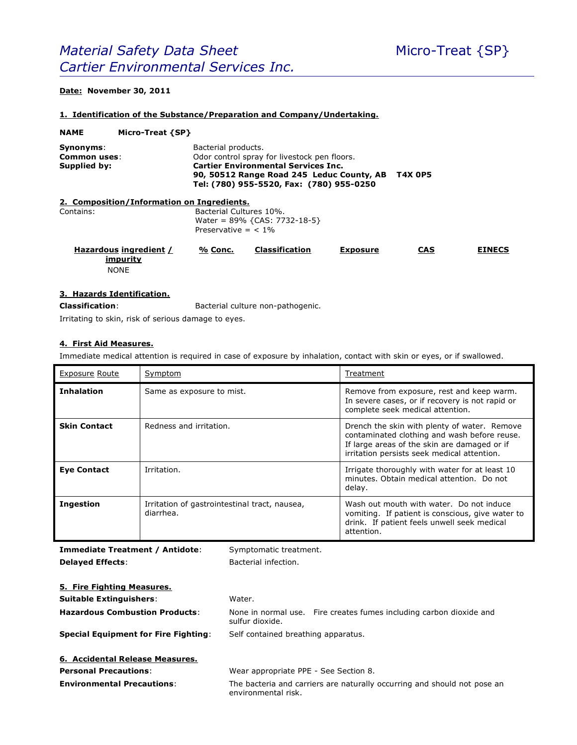# **Date: November 30, 2011**

#### **1. Identification of the Substance/Preparation and Company/Undertaking.**

| <b>NAME</b>                               | Micro-Treat {SP}                                                                                                                                                                                                             |                                                                                     |                       |                 |            |               |
|-------------------------------------------|------------------------------------------------------------------------------------------------------------------------------------------------------------------------------------------------------------------------------|-------------------------------------------------------------------------------------|-----------------------|-----------------|------------|---------------|
| Synonyms:<br>Common uses:<br>Supplied by: | Bacterial products.<br>Odor control spray for livestock pen floors.<br><b>Cartier Environmental Services Inc.</b><br><b>T4X 0P5</b><br>90, 50512 Range Road 245 Leduc County, AB<br>Tel: (780) 955-5520, Fax: (780) 955-0250 |                                                                                     |                       |                 |            |               |
|                                           | 2. Composition/Information on Ingredients.                                                                                                                                                                                   |                                                                                     |                       |                 |            |               |
| Contains:                                 |                                                                                                                                                                                                                              | Bacterial Cultures 10%.<br>Water = $89\%$ {CAS: 7732-18-5}<br>Preservative $=$ < 1% |                       |                 |            |               |
|                                           | Hazardous ingredient /<br>impurity<br><b>NONE</b>                                                                                                                                                                            | % Conc.                                                                             | <b>Classification</b> | <b>Exposure</b> | <b>CAS</b> | <b>EINECS</b> |

### **3. Hazards Identification.**

**Classification**: Bacterial culture non-pathogenic.

Irritating to skin, risk of serious damage to eyes.

#### **4. First Aid Measures.**

Immediate medical attention is required in case of exposure by inhalation, contact with skin or eyes, or if swallowed.

| <b>Exposure Route</b> | Symptom                                                    | Treatment                                                                                                                                                                                   |
|-----------------------|------------------------------------------------------------|---------------------------------------------------------------------------------------------------------------------------------------------------------------------------------------------|
| <b>Inhalation</b>     | Same as exposure to mist.                                  | Remove from exposure, rest and keep warm.<br>In severe cases, or if recovery is not rapid or<br>complete seek medical attention.                                                            |
| <b>Skin Contact</b>   | Redness and irritation.                                    | Drench the skin with plenty of water. Remove<br>contaminated clothing and wash before reuse.<br>If large areas of the skin are damaged or if<br>irritation persists seek medical attention. |
| <b>Eye Contact</b>    | Irritation.                                                | Irrigate thoroughly with water for at least 10<br>minutes. Obtain medical attention. Do not<br>delay.                                                                                       |
| <b>Ingestion</b>      | Irritation of gastrointestinal tract, nausea,<br>diarrhea. | Wash out mouth with water. Do not induce<br>vomiting. If patient is conscious, give water to<br>drink. If patient feels unwell seek medical<br>attention.                                   |

**Immediate Treatment / Antidote:** Symptomatic treatment. **Delayed Effects:** Bacterial infection.

| 5. Fire Fighting Measures.                  |                                                                                                 |  |  |  |
|---------------------------------------------|-------------------------------------------------------------------------------------------------|--|--|--|
| <b>Suitable Extinguishers:</b>              | Water.                                                                                          |  |  |  |
| <b>Hazardous Combustion Products:</b>       | None in normal use. Fire creates fumes including carbon dioxide and<br>sulfur dioxide.          |  |  |  |
| <b>Special Equipment for Fire Fighting:</b> | Self contained breathing apparatus.                                                             |  |  |  |
| 6. Accidental Release Measures.             |                                                                                                 |  |  |  |
| <b>Personal Precautions:</b>                | Wear appropriate PPE - See Section 8.                                                           |  |  |  |
| <b>Environmental Precautions:</b>           | The bacteria and carriers are naturally occurring and should not pose an<br>environmental risk. |  |  |  |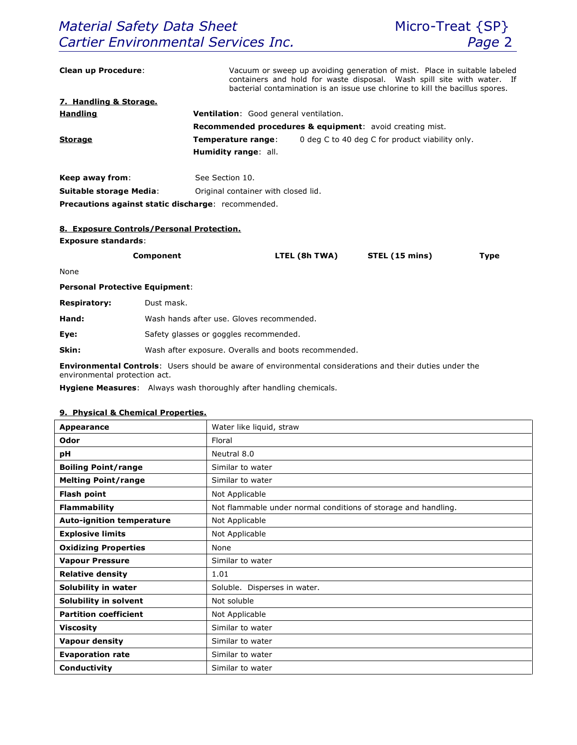| <b>Clean up Procedure:</b>                                            |                                                      |                                                                       |               | Vacuum or sweep up avoiding generation of mist. Place in suitable labeled<br>containers and hold for waste disposal. Wash spill site with water. If<br>bacterial contamination is an issue use chlorine to kill the bacillus spores. |             |  |
|-----------------------------------------------------------------------|------------------------------------------------------|-----------------------------------------------------------------------|---------------|--------------------------------------------------------------------------------------------------------------------------------------------------------------------------------------------------------------------------------------|-------------|--|
| 7. Handling & Storage.                                                |                                                      |                                                                       |               |                                                                                                                                                                                                                                      |             |  |
| Ventilation: Good general ventilation.<br><b>Handling</b>             |                                                      |                                                                       |               |                                                                                                                                                                                                                                      |             |  |
|                                                                       |                                                      | <b>Recommended procedures &amp; equipment:</b> avoid creating mist.   |               |                                                                                                                                                                                                                                      |             |  |
| <b>Storage</b>                                                        |                                                      | 0 deg C to 40 deg C for product viability only.<br>Temperature range: |               |                                                                                                                                                                                                                                      |             |  |
|                                                                       |                                                      | Humidity range: all.                                                  |               |                                                                                                                                                                                                                                      |             |  |
| Keep away from:                                                       | See Section 10.                                      |                                                                       |               |                                                                                                                                                                                                                                      |             |  |
| <b>Suitable storage Media:</b><br>Original container with closed lid. |                                                      |                                                                       |               |                                                                                                                                                                                                                                      |             |  |
|                                                                       | Precautions against static discharge: recommended.   |                                                                       |               |                                                                                                                                                                                                                                      |             |  |
|                                                                       |                                                      |                                                                       |               |                                                                                                                                                                                                                                      |             |  |
|                                                                       | 8. Exposure Controls/Personal Protection.            |                                                                       |               |                                                                                                                                                                                                                                      |             |  |
| <b>Exposure standards:</b>                                            |                                                      |                                                                       |               |                                                                                                                                                                                                                                      |             |  |
|                                                                       | Component                                            |                                                                       | LTEL (8h TWA) | STEL (15 mins)                                                                                                                                                                                                                       | <b>Type</b> |  |
| None                                                                  |                                                      |                                                                       |               |                                                                                                                                                                                                                                      |             |  |
| <b>Personal Protective Equipment:</b>                                 |                                                      |                                                                       |               |                                                                                                                                                                                                                                      |             |  |
| <b>Respiratory:</b>                                                   | Dust mask.                                           |                                                                       |               |                                                                                                                                                                                                                                      |             |  |
| Hand:                                                                 | Wash hands after use. Gloves recommended.            |                                                                       |               |                                                                                                                                                                                                                                      |             |  |
| Eye:                                                                  | Safety glasses or goggles recommended.               |                                                                       |               |                                                                                                                                                                                                                                      |             |  |
| Skin:                                                                 | Wash after exposure. Overalls and boots recommended. |                                                                       |               |                                                                                                                                                                                                                                      |             |  |

**Environmental Controls**: Users should be aware of environmental considerations and their duties under the environmental protection act.

**Hygiene Measures**: Always wash thoroughly after handling chemicals.

# **9. Physical & Chemical Properties.**

| Appearance                       | Water like liquid, straw                                       |  |
|----------------------------------|----------------------------------------------------------------|--|
| Odor                             | Floral                                                         |  |
| рH                               | Neutral 8.0                                                    |  |
| <b>Boiling Point/range</b>       | Similar to water                                               |  |
| <b>Melting Point/range</b>       | Similar to water                                               |  |
| <b>Flash point</b>               | Not Applicable                                                 |  |
| <b>Flammability</b>              | Not flammable under normal conditions of storage and handling. |  |
| <b>Auto-ignition temperature</b> | Not Applicable                                                 |  |
| <b>Explosive limits</b>          | Not Applicable                                                 |  |
| <b>Oxidizing Properties</b>      | None                                                           |  |
| <b>Vapour Pressure</b>           | Similar to water                                               |  |
| <b>Relative density</b>          | 1.01                                                           |  |
| Solubility in water              | Soluble. Disperses in water.                                   |  |
| Solubility in solvent            | Not soluble                                                    |  |
| <b>Partition coefficient</b>     | Not Applicable                                                 |  |
| <b>Viscosity</b>                 | Similar to water                                               |  |
| <b>Vapour density</b>            | Similar to water                                               |  |
| <b>Evaporation rate</b>          | Similar to water                                               |  |
| Conductivity                     | Similar to water                                               |  |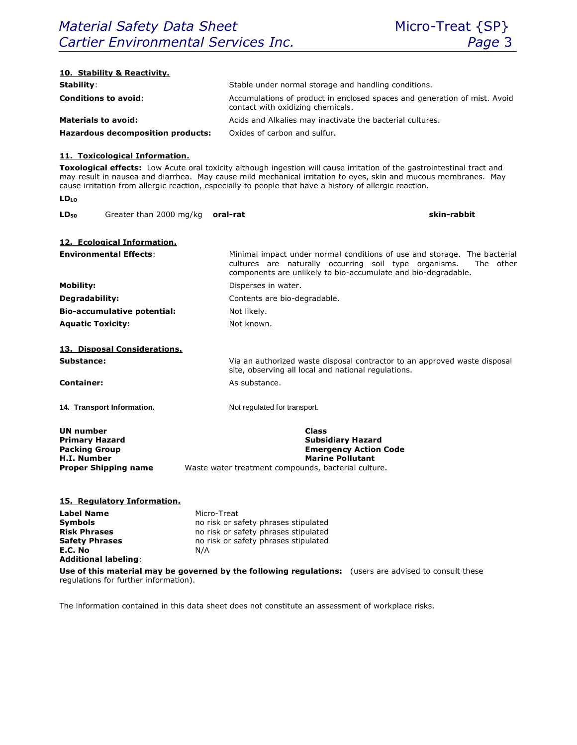| 10. Stability & Reactivity.                                                                                                   |                                                                                                                                                                                                                                                                                                                                                       |  |  |
|-------------------------------------------------------------------------------------------------------------------------------|-------------------------------------------------------------------------------------------------------------------------------------------------------------------------------------------------------------------------------------------------------------------------------------------------------------------------------------------------------|--|--|
| Stability:                                                                                                                    | Stable under normal storage and handling conditions.                                                                                                                                                                                                                                                                                                  |  |  |
| <b>Conditions to avoid:</b>                                                                                                   | Accumulations of product in enclosed spaces and generation of mist. Avoid<br>contact with oxidizing chemicals.                                                                                                                                                                                                                                        |  |  |
| <b>Materials to avoid:</b>                                                                                                    | Acids and Alkalies may inactivate the bacterial cultures.                                                                                                                                                                                                                                                                                             |  |  |
| <b>Hazardous decomposition products:</b>                                                                                      | Oxides of carbon and sulfur.                                                                                                                                                                                                                                                                                                                          |  |  |
| 11. Toxicological Information.                                                                                                |                                                                                                                                                                                                                                                                                                                                                       |  |  |
|                                                                                                                               | Toxological effects: Low Acute oral toxicity although ingestion will cause irritation of the gastrointestinal tract and<br>may result in nausea and diarrhea. May cause mild mechanical irritation to eyes, skin and mucous membranes. May<br>cause irritation from allergic reaction, especially to people that have a history of allergic reaction. |  |  |
| LDLO                                                                                                                          |                                                                                                                                                                                                                                                                                                                                                       |  |  |
| Greater than 2000 mg/kg oral-rat<br>LD <sub>50</sub>                                                                          | skin-rabbit                                                                                                                                                                                                                                                                                                                                           |  |  |
| 12. Ecological Information.                                                                                                   |                                                                                                                                                                                                                                                                                                                                                       |  |  |
| <b>Environmental Effects:</b>                                                                                                 | Minimal impact under normal conditions of use and storage. The bacterial<br>cultures are naturally occurring soil type organisms.<br>The other<br>components are unlikely to bio-accumulate and bio-degradable.                                                                                                                                       |  |  |
| <b>Mobility:</b>                                                                                                              | Disperses in water.                                                                                                                                                                                                                                                                                                                                   |  |  |
| Degradability:                                                                                                                | Contents are bio-degradable.                                                                                                                                                                                                                                                                                                                          |  |  |
| <b>Bio-accumulative potential:</b>                                                                                            | Not likely.                                                                                                                                                                                                                                                                                                                                           |  |  |
| <b>Aquatic Toxicity:</b>                                                                                                      | Not known.                                                                                                                                                                                                                                                                                                                                            |  |  |
| 13. Disposal Considerations.                                                                                                  |                                                                                                                                                                                                                                                                                                                                                       |  |  |
| Substance:                                                                                                                    | Via an authorized waste disposal contractor to an approved waste disposal<br>site, observing all local and national regulations.                                                                                                                                                                                                                      |  |  |
| <b>Container:</b>                                                                                                             | As substance.                                                                                                                                                                                                                                                                                                                                         |  |  |
| 14. Transport Information.                                                                                                    | Not regulated for transport.                                                                                                                                                                                                                                                                                                                          |  |  |
| <b>UN number</b><br><b>Primary Hazard</b><br><b>Packing Group</b><br>H.I. Number<br><b>Proper Shipping name</b>               | <b>Class</b><br><b>Subsidiary Hazard</b><br><b>Emergency Action Code</b><br><b>Marine Pollutant</b><br>Waste water treatment compounds, bacterial culture.                                                                                                                                                                                            |  |  |
| 15. Regulatory Information.                                                                                                   |                                                                                                                                                                                                                                                                                                                                                       |  |  |
| <b>Label Name</b><br>Symbols<br><b>Risk Phrases</b><br><b>Safety Phrases</b><br>E.C. No<br>N/A<br><b>Additional labeling:</b> | Micro-Treat<br>no risk or safety phrases stipulated<br>no risk or safety phrases stipulated<br>no risk or safety phrases stipulated                                                                                                                                                                                                                   |  |  |
| regulations for further information).                                                                                         | Use of this material may be governed by the following regulations: (users are advised to consult these                                                                                                                                                                                                                                                |  |  |

The information contained in this data sheet does not constitute an assessment of workplace risks.